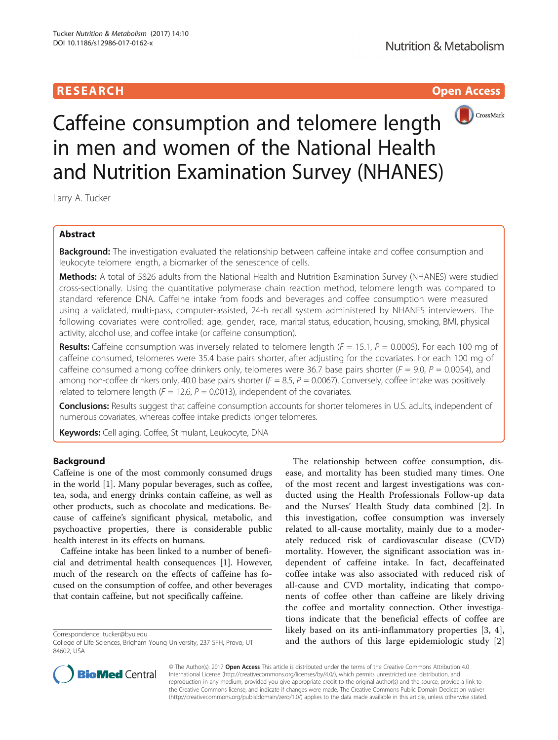# **RESEARCH CHE Open Access**



# Caffeine consumption and telomere length in men and women of the National Health and Nutrition Examination Survey (NHANES)

Larry A. Tucker

# Abstract

**Background:** The investigation evaluated the relationship between caffeine intake and coffee consumption and leukocyte telomere length, a biomarker of the senescence of cells.

Methods: A total of 5826 adults from the National Health and Nutrition Examination Survey (NHANES) were studied cross-sectionally. Using the quantitative polymerase chain reaction method, telomere length was compared to standard reference DNA. Caffeine intake from foods and beverages and coffee consumption were measured using a validated, multi-pass, computer-assisted, 24-h recall system administered by NHANES interviewers. The following covariates were controlled: age, gender, race, marital status, education, housing, smoking, BMI, physical activity, alcohol use, and coffee intake (or caffeine consumption).

**Results:** Caffeine consumption was inversely related to telomere length  $(F = 15.1, P = 0.0005)$ . For each 100 mg of caffeine consumed, telomeres were 35.4 base pairs shorter, after adjusting for the covariates. For each 100 mg of caffeine consumed among coffee drinkers only, telomeres were 36.7 base pairs shorter ( $F = 9.0$ ,  $P = 0.0054$ ), and among non-coffee drinkers only, 40.0 base pairs shorter ( $F = 8.5$ ,  $P = 0.0067$ ). Conversely, coffee intake was positively related to telomere length ( $F = 12.6$ ,  $P = 0.0013$ ), independent of the covariates.

Conclusions: Results suggest that caffeine consumption accounts for shorter telomeres in U.S. adults, independent of numerous covariates, whereas coffee intake predicts longer telomeres.

Keywords: Cell aging, Coffee, Stimulant, Leukocyte, DNA

## Background

Caffeine is one of the most commonly consumed drugs in the world [[1\]](#page-9-0). Many popular beverages, such as coffee, tea, soda, and energy drinks contain caffeine, as well as other products, such as chocolate and medications. Because of caffeine's significant physical, metabolic, and psychoactive properties, there is considerable public health interest in its effects on humans.

Caffeine intake has been linked to a number of beneficial and detrimental health consequences [\[1\]](#page-9-0). However, much of the research on the effects of caffeine has focused on the consumption of coffee, and other beverages that contain caffeine, but not specifically caffeine.

The relationship between coffee consumption, disease, and mortality has been studied many times. One of the most recent and largest investigations was conducted using the Health Professionals Follow-up data and the Nurses' Health Study data combined [[2](#page-9-0)]. In this investigation, coffee consumption was inversely related to all-cause mortality, mainly due to a moderately reduced risk of cardiovascular disease (CVD) mortality. However, the significant association was independent of caffeine intake. In fact, decaffeinated coffee intake was also associated with reduced risk of all-cause and CVD mortality, indicating that components of coffee other than caffeine are likely driving the coffee and mortality connection. Other investigations indicate that the beneficial effects of coffee are likely based on its anti-inflammatory properties [[3, 4](#page-9-0)], and the authors of this and-minimum properties (3, 4),<br>College of Life Sciences, Brigham Young University, 237 SFH, Provo, UT and the authors of this large epidemiologic study [\[2](#page-9-0)]



© The Author(s). 2017 **Open Access** This article is distributed under the terms of the Creative Commons Attribution 4.0 International License [\(http://creativecommons.org/licenses/by/4.0/](http://creativecommons.org/licenses/by/4.0/)), which permits unrestricted use, distribution, and reproduction in any medium, provided you give appropriate credit to the original author(s) and the source, provide a link to the Creative Commons license, and indicate if changes were made. The Creative Commons Public Domain Dedication waiver [\(http://creativecommons.org/publicdomain/zero/1.0/](http://creativecommons.org/publicdomain/zero/1.0/)) applies to the data made available in this article, unless otherwise stated.

College of Life Sciences, Brigham Young University, 237 SFH, Provo, UT 84602, USA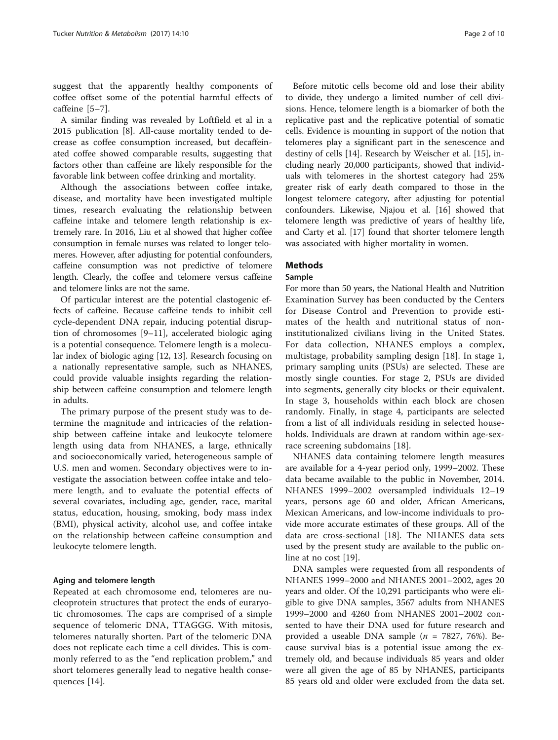suggest that the apparently healthy components of coffee offset some of the potential harmful effects of caffeine [[5](#page-9-0)–[7\]](#page-9-0).

A similar finding was revealed by Loftfield et al in a 2015 publication [[8\]](#page-9-0). All-cause mortality tended to decrease as coffee consumption increased, but decaffeinated coffee showed comparable results, suggesting that factors other than caffeine are likely responsible for the favorable link between coffee drinking and mortality.

Although the associations between coffee intake, disease, and mortality have been investigated multiple times, research evaluating the relationship between caffeine intake and telomere length relationship is extremely rare. In 2016, Liu et al showed that higher coffee consumption in female nurses was related to longer telomeres. However, after adjusting for potential confounders, caffeine consumption was not predictive of telomere length. Clearly, the coffee and telomere versus caffeine and telomere links are not the same.

Of particular interest are the potential clastogenic effects of caffeine. Because caffeine tends to inhibit cell cycle-dependent DNA repair, inducing potential disruption of chromosomes [\[9](#page-9-0)–[11\]](#page-9-0), accelerated biologic aging is a potential consequence. Telomere length is a molecular index of biologic aging [\[12](#page-9-0), [13\]](#page-9-0). Research focusing on a nationally representative sample, such as NHANES, could provide valuable insights regarding the relationship between caffeine consumption and telomere length in adults.

The primary purpose of the present study was to determine the magnitude and intricacies of the relationship between caffeine intake and leukocyte telomere length using data from NHANES, a large, ethnically and socioeconomically varied, heterogeneous sample of U.S. men and women. Secondary objectives were to investigate the association between coffee intake and telomere length, and to evaluate the potential effects of several covariates, including age, gender, race, marital status, education, housing, smoking, body mass index (BMI), physical activity, alcohol use, and coffee intake on the relationship between caffeine consumption and leukocyte telomere length.

## Aging and telomere length

Repeated at each chromosome end, telomeres are nucleoprotein structures that protect the ends of euraryotic chromosomes. The caps are comprised of a simple sequence of telomeric DNA, TTAGGG. With mitosis, telomeres naturally shorten. Part of the telomeric DNA does not replicate each time a cell divides. This is commonly referred to as the "end replication problem," and short telomeres generally lead to negative health consequences [\[14](#page-9-0)].

Before mitotic cells become old and lose their ability to divide, they undergo a limited number of cell divisions. Hence, telomere length is a biomarker of both the replicative past and the replicative potential of somatic cells. Evidence is mounting in support of the notion that telomeres play a significant part in the senescence and destiny of cells [[14](#page-9-0)]. Research by Weischer et al. [[15\]](#page-9-0), including nearly 20,000 participants, showed that individuals with telomeres in the shortest category had 25% greater risk of early death compared to those in the longest telomere category, after adjusting for potential confounders. Likewise, Njajou et al. [\[16](#page-9-0)] showed that telomere length was predictive of years of healthy life, and Carty et al. [[17](#page-9-0)] found that shorter telomere length was associated with higher mortality in women.

## Methods

## Sample

For more than 50 years, the National Health and Nutrition Examination Survey has been conducted by the Centers for Disease Control and Prevention to provide estimates of the health and nutritional status of noninstitutionalized civilians living in the United States. For data collection, NHANES employs a complex, multistage, probability sampling design [[18\]](#page-9-0). In stage 1, primary sampling units (PSUs) are selected. These are mostly single counties. For stage 2, PSUs are divided into segments, generally city blocks or their equivalent. In stage 3, households within each block are chosen randomly. Finally, in stage 4, participants are selected from a list of all individuals residing in selected households. Individuals are drawn at random within age-sexrace screening subdomains [\[18](#page-9-0)].

NHANES data containing telomere length measures are available for a 4-year period only, 1999–2002. These data became available to the public in November, 2014. NHANES 1999–2002 oversampled individuals 12–19 years, persons age 60 and older, African Americans, Mexican Americans, and low-income individuals to provide more accurate estimates of these groups. All of the data are cross-sectional [[18](#page-9-0)]. The NHANES data sets used by the present study are available to the public online at no cost [\[19\]](#page-9-0).

DNA samples were requested from all respondents of NHANES 1999–2000 and NHANES 2001–2002, ages 20 years and older. Of the 10,291 participants who were eligible to give DNA samples, 3567 adults from NHANES 1999–2000 and 4260 from NHANES 2001–2002 consented to have their DNA used for future research and provided a useable DNA sample ( $n = 7827, 76\%$ ). Because survival bias is a potential issue among the extremely old, and because individuals 85 years and older were all given the age of 85 by NHANES, participants 85 years old and older were excluded from the data set.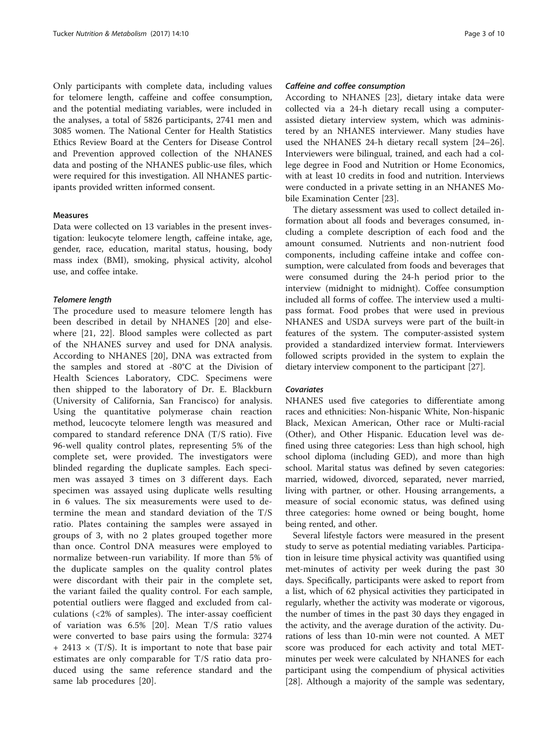Only participants with complete data, including values for telomere length, caffeine and coffee consumption, and the potential mediating variables, were included in the analyses, a total of 5826 participants, 2741 men and 3085 women. The National Center for Health Statistics Ethics Review Board at the Centers for Disease Control and Prevention approved collection of the NHANES data and posting of the NHANES public-use files, which were required for this investigation. All NHANES participants provided written informed consent.

#### Measures

Data were collected on 13 variables in the present investigation: leukocyte telomere length, caffeine intake, age, gender, race, education, marital status, housing, body mass index (BMI), smoking, physical activity, alcohol use, and coffee intake.

#### Telomere length

The procedure used to measure telomere length has been described in detail by NHANES [\[20](#page-9-0)] and elsewhere [[21, 22\]](#page-9-0). Blood samples were collected as part of the NHANES survey and used for DNA analysis. According to NHANES [[20\]](#page-9-0), DNA was extracted from the samples and stored at -80°C at the Division of Health Sciences Laboratory, CDC. Specimens were then shipped to the laboratory of Dr. E. Blackburn (University of California, San Francisco) for analysis. Using the quantitative polymerase chain reaction method, leucocyte telomere length was measured and compared to standard reference DNA (T/S ratio). Five 96-well quality control plates, representing 5% of the complete set, were provided. The investigators were blinded regarding the duplicate samples. Each specimen was assayed 3 times on 3 different days. Each specimen was assayed using duplicate wells resulting in 6 values. The six measurements were used to determine the mean and standard deviation of the T/S ratio. Plates containing the samples were assayed in groups of 3, with no 2 plates grouped together more than once. Control DNA measures were employed to normalize between-run variability. If more than 5% of the duplicate samples on the quality control plates were discordant with their pair in the complete set, the variant failed the quality control. For each sample, potential outliers were flagged and excluded from calculations (<2% of samples). The inter-assay coefficient of variation was 6.5% [\[20](#page-9-0)]. Mean T/S ratio values were converted to base pairs using the formula: 3274  $+ 2413 \times (T/S)$ . It is important to note that base pair estimates are only comparable for T/S ratio data produced using the same reference standard and the same lab procedures [\[20](#page-9-0)].

## Caffeine and coffee consumption

According to NHANES [\[23\]](#page-9-0), dietary intake data were collected via a 24-h dietary recall using a computerassisted dietary interview system, which was administered by an NHANES interviewer. Many studies have used the NHANES 24-h dietary recall system [[24](#page-9-0)–[26](#page-9-0)]. Interviewers were bilingual, trained, and each had a college degree in Food and Nutrition or Home Economics, with at least 10 credits in food and nutrition. Interviews were conducted in a private setting in an NHANES Mobile Examination Center [[23](#page-9-0)].

The dietary assessment was used to collect detailed information about all foods and beverages consumed, including a complete description of each food and the amount consumed. Nutrients and non-nutrient food components, including caffeine intake and coffee consumption, were calculated from foods and beverages that were consumed during the 24-h period prior to the interview (midnight to midnight). Coffee consumption included all forms of coffee. The interview used a multipass format. Food probes that were used in previous NHANES and USDA surveys were part of the built-in features of the system. The computer-assisted system provided a standardized interview format. Interviewers followed scripts provided in the system to explain the dietary interview component to the participant [[27\]](#page-9-0).

#### **Covariates**

NHANES used five categories to differentiate among races and ethnicities: Non-hispanic White, Non-hispanic Black, Mexican American, Other race or Multi-racial (Other), and Other Hispanic. Education level was defined using three categories: Less than high school, high school diploma (including GED), and more than high school. Marital status was defined by seven categories: married, widowed, divorced, separated, never married, living with partner, or other. Housing arrangements, a measure of social economic status, was defined using three categories: home owned or being bought, home being rented, and other.

Several lifestyle factors were measured in the present study to serve as potential mediating variables. Participation in leisure time physical activity was quantified using met-minutes of activity per week during the past 30 days. Specifically, participants were asked to report from a list, which of 62 physical activities they participated in regularly, whether the activity was moderate or vigorous, the number of times in the past 30 days they engaged in the activity, and the average duration of the activity. Durations of less than 10-min were not counted. A MET score was produced for each activity and total METminutes per week were calculated by NHANES for each participant using the compendium of physical activities [[28\]](#page-9-0). Although a majority of the sample was sedentary,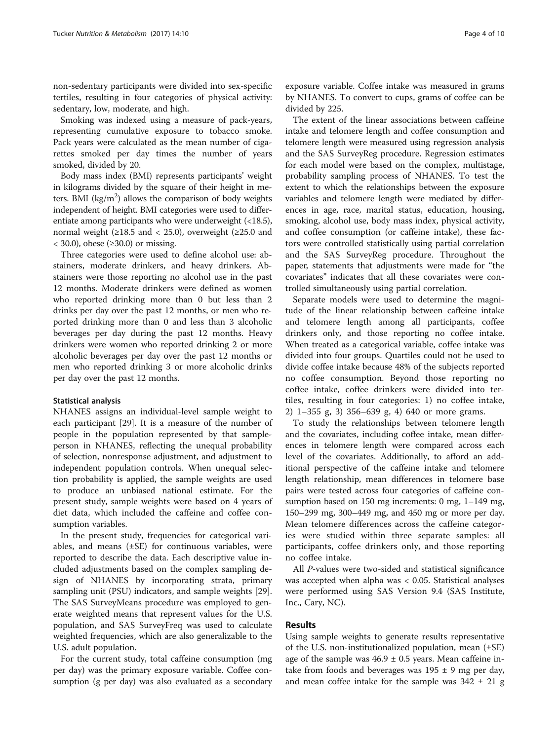non-sedentary participants were divided into sex-specific tertiles, resulting in four categories of physical activity: sedentary, low, moderate, and high.

Smoking was indexed using a measure of pack-years, representing cumulative exposure to tobacco smoke. Pack years were calculated as the mean number of cigarettes smoked per day times the number of years smoked, divided by 20.

Body mass index (BMI) represents participants' weight in kilograms divided by the square of their height in meters. BMI ( $\text{kg/m}^2$ ) allows the comparison of body weights independent of height. BMI categories were used to differentiate among participants who were underweight (<18.5), normal weight ( $\geq$ 18.5 and < 25.0), overweight ( $\geq$ 25.0 and  $<$  30.0), obese ( $\geq$ 30.0) or missing.

Three categories were used to define alcohol use: abstainers, moderate drinkers, and heavy drinkers. Abstainers were those reporting no alcohol use in the past 12 months. Moderate drinkers were defined as women who reported drinking more than 0 but less than 2 drinks per day over the past 12 months, or men who reported drinking more than 0 and less than 3 alcoholic beverages per day during the past 12 months. Heavy drinkers were women who reported drinking 2 or more alcoholic beverages per day over the past 12 months or men who reported drinking 3 or more alcoholic drinks per day over the past 12 months.

## Statistical analysis

NHANES assigns an individual-level sample weight to each participant [[29](#page-9-0)]. It is a measure of the number of people in the population represented by that sampleperson in NHANES, reflecting the unequal probability of selection, nonresponse adjustment, and adjustment to independent population controls. When unequal selection probability is applied, the sample weights are used to produce an unbiased national estimate. For the present study, sample weights were based on 4 years of diet data, which included the caffeine and coffee consumption variables.

In the present study, frequencies for categorical variables, and means (±SE) for continuous variables, were reported to describe the data. Each descriptive value included adjustments based on the complex sampling design of NHANES by incorporating strata, primary sampling unit (PSU) indicators, and sample weights [\[29](#page-9-0)]. The SAS SurveyMeans procedure was employed to generate weighted means that represent values for the U.S. population, and SAS SurveyFreq was used to calculate weighted frequencies, which are also generalizable to the U.S. adult population.

For the current study, total caffeine consumption (mg per day) was the primary exposure variable. Coffee consumption (g per day) was also evaluated as a secondary

exposure variable. Coffee intake was measured in grams by NHANES. To convert to cups, grams of coffee can be divided by 225.

The extent of the linear associations between caffeine intake and telomere length and coffee consumption and telomere length were measured using regression analysis and the SAS SurveyReg procedure. Regression estimates for each model were based on the complex, multistage, probability sampling process of NHANES. To test the extent to which the relationships between the exposure variables and telomere length were mediated by differences in age, race, marital status, education, housing, smoking, alcohol use, body mass index, physical activity, and coffee consumption (or caffeine intake), these factors were controlled statistically using partial correlation and the SAS SurveyReg procedure. Throughout the paper, statements that adjustments were made for "the covariates" indicates that all these covariates were controlled simultaneously using partial correlation.

Separate models were used to determine the magnitude of the linear relationship between caffeine intake and telomere length among all participants, coffee drinkers only, and those reporting no coffee intake. When treated as a categorical variable, coffee intake was divided into four groups. Quartiles could not be used to divide coffee intake because 48% of the subjects reported no coffee consumption. Beyond those reporting no coffee intake, coffee drinkers were divided into tertiles, resulting in four categories: 1) no coffee intake, 2) 1–355 g, 3) 356–639 g, 4) 640 or more grams.

To study the relationships between telomere length and the covariates, including coffee intake, mean differences in telomere length were compared across each level of the covariates. Additionally, to afford an additional perspective of the caffeine intake and telomere length relationship, mean differences in telomere base pairs were tested across four categories of caffeine consumption based on 150 mg increments: 0 mg, 1–149 mg, 150–299 mg, 300–449 mg, and 450 mg or more per day. Mean telomere differences across the caffeine categories were studied within three separate samples: all participants, coffee drinkers only, and those reporting no coffee intake.

All P-values were two-sided and statistical significance was accepted when alpha was < 0.05. Statistical analyses were performed using SAS Version 9.4 (SAS Institute, Inc., Cary, NC).

## Results

Using sample weights to generate results representative of the U.S. non-institutionalized population, mean  $(\pm SE)$ age of the sample was  $46.9 \pm 0.5$  years. Mean caffeine intake from foods and beverages was  $195 \pm 9$  mg per day, and mean coffee intake for the sample was  $342 \pm 21$  g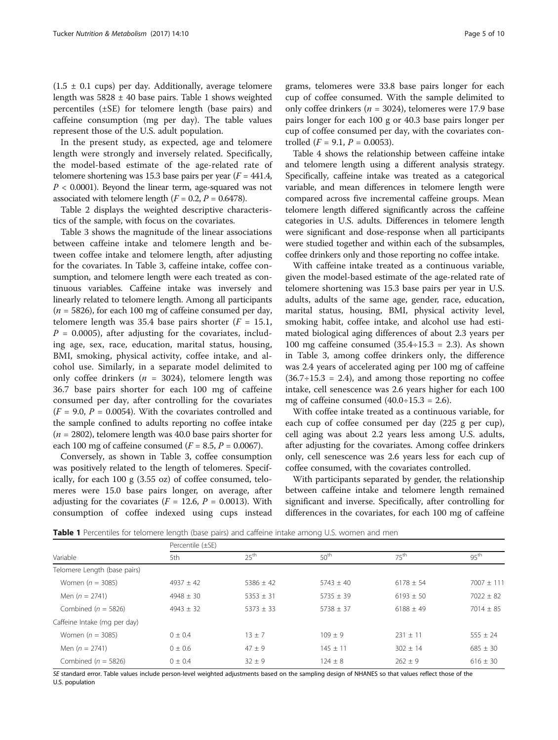$(1.5 \pm 0.1 \text{ cups})$  per day. Additionally, average telomere length was  $5828 \pm 40$  base pairs. Table 1 shows weighted percentiles (±SE) for telomere length (base pairs) and caffeine consumption (mg per day). The table values represent those of the U.S. adult population.

In the present study, as expected, age and telomere length were strongly and inversely related. Specifically, the model-based estimate of the age-related rate of telomere shortening was 15.3 base pairs per year ( $F = 441.4$ ,  $P < 0.0001$ ). Beyond the linear term, age-squared was not associated with telomere length ( $F = 0.2$ ,  $P = 0.6478$ ).

Table [2](#page-5-0) displays the weighted descriptive characteristics of the sample, with focus on the covariates.

Table [3](#page-6-0) shows the magnitude of the linear associations between caffeine intake and telomere length and between coffee intake and telomere length, after adjusting for the covariates. In Table [3](#page-6-0), caffeine intake, coffee consumption, and telomere length were each treated as continuous variables. Caffeine intake was inversely and linearly related to telomere length. Among all participants  $(n = 5826)$ , for each 100 mg of caffeine consumed per day, telomere length was 35.4 base pairs shorter ( $F = 15.1$ ,  $P = 0.0005$ ), after adjusting for the covariates, including age, sex, race, education, marital status, housing, BMI, smoking, physical activity, coffee intake, and alcohol use. Similarly, in a separate model delimited to only coffee drinkers ( $n = 3024$ ), telomere length was 36.7 base pairs shorter for each 100 mg of caffeine consumed per day, after controlling for the covariates  $(F = 9.0, P = 0.0054)$ . With the covariates controlled and the sample confined to adults reporting no coffee intake  $(n = 2802)$ , telomere length was 40.0 base pairs shorter for each 100 mg of caffeine consumed ( $F = 8.5$ ,  $P = 0.0067$ ).

Conversely, as shown in Table [3](#page-6-0), coffee consumption was positively related to the length of telomeres. Specifically, for each 100 g (3.55 oz) of coffee consumed, telomeres were 15.0 base pairs longer, on average, after adjusting for the covariates ( $F = 12.6$ ,  $P = 0.0013$ ). With consumption of coffee indexed using cups instead grams, telomeres were 33.8 base pairs longer for each cup of coffee consumed. With the sample delimited to only coffee drinkers ( $n = 3024$ ), telomeres were 17.9 base pairs longer for each 100 g or 40.3 base pairs longer per cup of coffee consumed per day, with the covariates controlled  $(F = 9.1, P = 0.0053)$ .

Table [4](#page-7-0) shows the relationship between caffeine intake and telomere length using a different analysis strategy. Specifically, caffeine intake was treated as a categorical variable, and mean differences in telomere length were compared across five incremental caffeine groups. Mean telomere length differed significantly across the caffeine categories in U.S. adults. Differences in telomere length were significant and dose-response when all participants were studied together and within each of the subsamples, coffee drinkers only and those reporting no coffee intake.

With caffeine intake treated as a continuous variable, given the model-based estimate of the age-related rate of telomere shortening was 15.3 base pairs per year in U.S. adults, adults of the same age, gender, race, education, marital status, housing, BMI, physical activity level, smoking habit, coffee intake, and alcohol use had estimated biological aging differences of about 2.3 years per 100 mg caffeine consumed  $(35.4 \div 15.3 = 2.3)$ . As shown in Table [3](#page-6-0), among coffee drinkers only, the difference was 2.4 years of accelerated aging per 100 mg of caffeine  $(36.7 \div 15.3 = 2.4)$ , and among those reporting no coffee intake, cell senescence was 2.6 years higher for each 100 mg of caffeine consumed  $(40.0 \div 15.3 = 2.6)$ .

With coffee intake treated as a continuous variable, for each cup of coffee consumed per day (225 g per cup), cell aging was about 2.2 years less among U.S. adults, after adjusting for the covariates. Among coffee drinkers only, cell senescence was 2.6 years less for each cup of coffee consumed, with the covariates controlled.

With participants separated by gender, the relationship between caffeine intake and telomere length remained significant and inverse. Specifically, after controlling for differences in the covariates, for each 100 mg of caffeine

**Table 1** Percentiles for telomere length (base pairs) and caffeine intake among U.S. women and men

|                              | Percentile $(\pm SE)$ |                  |                  |                  |                  |  |  |  |  |
|------------------------------|-----------------------|------------------|------------------|------------------|------------------|--|--|--|--|
| Variable                     | 5th                   | 25 <sup>th</sup> | 50 <sup>th</sup> | 75 <sup>th</sup> | 95 <sup>th</sup> |  |  |  |  |
| Telomere Length (base pairs) |                       |                  |                  |                  |                  |  |  |  |  |
| Women $(n = 3085)$           | $4937 \pm 42$         | 5386 $\pm$ 42    | $5743 \pm 40$    | $6178 \pm 54$    | $7007 \pm 111$   |  |  |  |  |
| Men $(n = 2741)$             | $4948 \pm 30$         | $5353 \pm 31$    | $5735 \pm 39$    | $6193 \pm 50$    | $7022 \pm 82$    |  |  |  |  |
| Combined ( $n = 5826$ )      | $4943 \pm 32$         | $5373 \pm 33$    | $5738 \pm 37$    | $6188 \pm 49$    | $7014 + 85$      |  |  |  |  |
| Caffeine Intake (mg per day) |                       |                  |                  |                  |                  |  |  |  |  |
| Women ( $n = 3085$ )         | $0 + 0.4$             | $13 + 7$         | $109 + 9$        | $231 \pm 11$     | $555 \pm 24$     |  |  |  |  |
| Men $(n = 2741)$             | $0 \pm 0.6$           | $47 \pm 9$       | $145 \pm 11$     | $302 \pm 14$     | $685 \pm 30$     |  |  |  |  |
| Combined ( $n = 5826$ )      | $0 \pm 0.4$           | $32 \pm 9$       | $124 \pm 8$      | $262 \pm 9$      | $616 \pm 30$     |  |  |  |  |
|                              |                       |                  |                  |                  |                  |  |  |  |  |

SE standard error. Table values include person-level weighted adjustments based on the sampling design of NHANES so that values reflect those of the U.S. population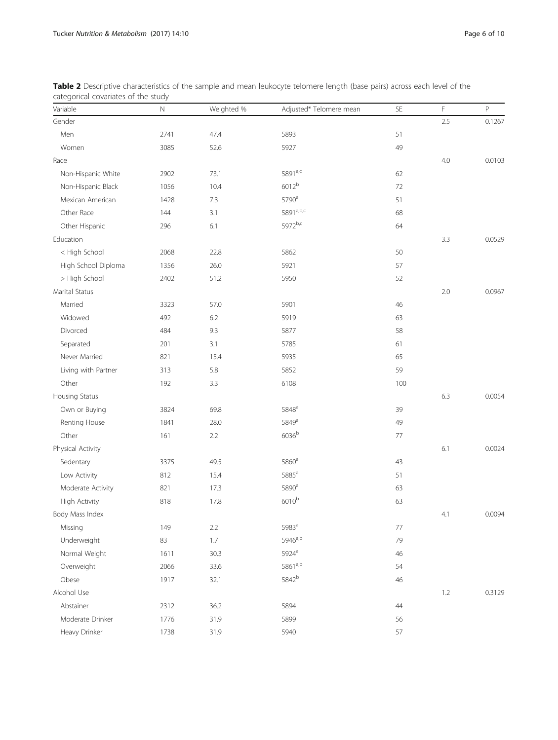<span id="page-5-0"></span>

| Table 2 Descriptive characteristics of the sample and mean leukocyte telomere length (base pairs) across each level of the |  |  |  |  |  |  |
|----------------------------------------------------------------------------------------------------------------------------|--|--|--|--|--|--|
| categorical covariates of the study                                                                                        |  |  |  |  |  |  |

| Variable            | $\hbox{N}$ | Weighted % | Adjusted* Telomere mean | SE  | $\mathsf F$ | $\mathsf P$ |
|---------------------|------------|------------|-------------------------|-----|-------------|-------------|
| Gender              |            |            |                         |     | 2.5         | 0.1267      |
| Men                 | 2741       | 47.4       | 5893                    | 51  |             |             |
| Women               | 3085       | 52.6       | 5927                    | 49  |             |             |
| Race                |            |            |                         |     | 4.0         | 0.0103      |
| Non-Hispanic White  | 2902       | 73.1       | $5891^{a,c}$            | 62  |             |             |
| Non-Hispanic Black  | 1056       | 10.4       | 6012 <sup>b</sup>       | 72  |             |             |
| Mexican American    | 1428       | 7.3        | 5790 <sup>a</sup>       | 51  |             |             |
| Other Race          | 144        | 3.1        | 5891a,b,c               | 68  |             |             |
| Other Hispanic      | 296        | 6.1        | 5972b,c                 | 64  |             |             |
| Education           |            |            |                         |     | 3.3         | 0.0529      |
| < High School       | 2068       | 22.8       | 5862                    | 50  |             |             |
| High School Diploma | 1356       | 26.0       | 5921                    | 57  |             |             |
| > High School       | 2402       | 51.2       | 5950                    | 52  |             |             |
| Marital Status      |            |            |                         |     | 2.0         | 0.0967      |
| Married             | 3323       | 57.0       | 5901                    | 46  |             |             |
| Widowed             | 492        | $6.2\,$    | 5919                    | 63  |             |             |
| Divorced            | 484        | 9.3        | 5877                    | 58  |             |             |
| Separated           | 201        | 3.1        | 5785                    | 61  |             |             |
| Never Married       | 821        | 15.4       | 5935                    | 65  |             |             |
| Living with Partner | 313        | 5.8        | 5852                    | 59  |             |             |
| Other               | 192        | 3.3        | 6108                    | 100 |             |             |
| Housing Status      |            |            |                         |     | 6.3         | 0.0054      |
| Own or Buying       | 3824       | 69.8       | 5848 <sup>a</sup>       | 39  |             |             |
| Renting House       | 1841       | 28.0       | $5849$ <sup>a</sup>     | 49  |             |             |
| Other               | 161        | $2.2\,$    | 6036 <sup>b</sup>       | 77  |             |             |
| Physical Activity   |            |            |                         |     | 6.1         | 0.0024      |
| Sedentary           | 3375       | 49.5       | 5860 <sup>a</sup>       | 43  |             |             |
| Low Activity        | 812        | 15.4       | 5885 <sup>a</sup>       | 51  |             |             |
| Moderate Activity   | 821        | 17.3       | $5890^{\rm a}$          | 63  |             |             |
| High Activity       | 818        | 17.8       | 6010 <sup>b</sup>       | 63  |             |             |
| Body Mass Index     |            |            |                         |     | 4.1         | 0.0094      |
| Missing             | 149        | 2.2        | 5983 <sup>a</sup>       | 77  |             |             |
| Underweight         | 83         | 1.7        | 5946 <sup>a,b</sup>     | 79  |             |             |
| Normal Weight       | 1611       | 30.3       | 5924 <sup>a</sup>       | 46  |             |             |
| Overweight          | 2066       | 33.6       | $5861^{a,b}$            | 54  |             |             |
| Obese               | 1917       | 32.1       | 5842 <sup>b</sup>       | 46  |             |             |
| Alcohol Use         |            |            |                         |     | 1.2         | 0.3129      |
| Abstainer           | 2312       | 36.2       | 5894                    | 44  |             |             |
| Moderate Drinker    | 1776       | 31.9       | 5899                    | 56  |             |             |
| Heavy Drinker       | 1738       | 31.9       | 5940                    | 57  |             |             |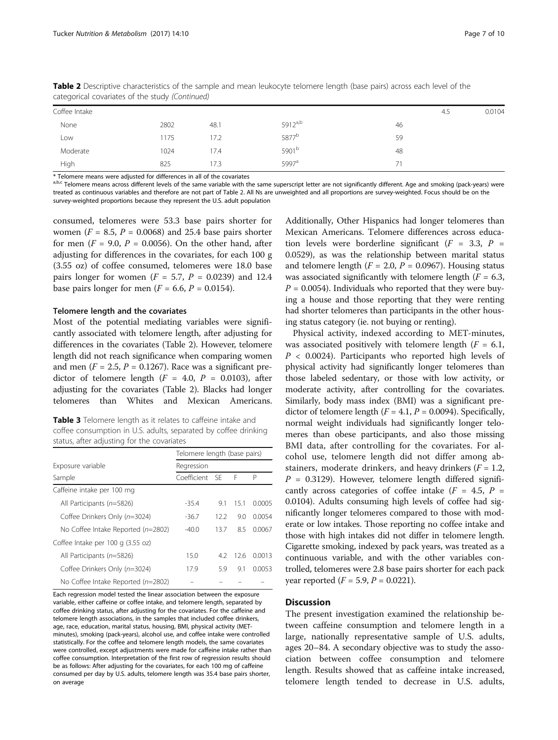| Coffee Intake<br>4.5<br>$5912^{a,b}$<br>2802<br>48.1<br>None<br>46<br>5877 <sup>b</sup><br>175<br>17.2<br>59<br>Low<br>5901 <sup>b</sup><br>1024<br>Moderate<br>17.4<br>48<br>$5997^a$<br>High<br>825<br>17.3 | $\tilde{\phantom{a}}$ | $\sim$ |  |        |
|---------------------------------------------------------------------------------------------------------------------------------------------------------------------------------------------------------------|-----------------------|--------|--|--------|
|                                                                                                                                                                                                               |                       |        |  | 0.0104 |
|                                                                                                                                                                                                               |                       |        |  |        |
|                                                                                                                                                                                                               |                       |        |  |        |
|                                                                                                                                                                                                               |                       |        |  |        |
|                                                                                                                                                                                                               |                       |        |  |        |

<span id="page-6-0"></span>Table 2 Descriptive characteristics of the sample and mean leukocyte telomere length (base pairs) across each level of the categorical covariates of the study (Continued)

\* Telomere means were adjusted for differences in all of the covariates

a,b,c Telomere means across different levels of the same variable with the same superscript letter are not significantly different. Age and smoking (pack-years) were treated as continuous variables and therefore are not part of Table [2.](#page-5-0) All Ns are unweighted and all proportions are survey-weighted. Focus should be on the survey-weighted proportions because they represent the U.S. adult population

consumed, telomeres were 53.3 base pairs shorter for women ( $F = 8.5$ ,  $P = 0.0068$ ) and 25.4 base pairs shorter for men ( $F = 9.0$ ,  $P = 0.0056$ ). On the other hand, after adjusting for differences in the covariates, for each 100 g (3.55 oz) of coffee consumed, telomeres were 18.0 base pairs longer for women ( $F = 5.7$ ,  $P = 0.0239$ ) and 12.4 base pairs longer for men ( $F = 6.6$ ,  $P = 0.0154$ ).

## Telomere length and the covariates

Most of the potential mediating variables were significantly associated with telomere length, after adjusting for differences in the covariates (Table [2](#page-5-0)). However, telomere length did not reach significance when comparing women and men ( $F = 2.5$ ,  $P = 0.1267$ ). Race was a significant predictor of telomere length ( $F = 4.0$ ,  $P = 0.0103$ ), after adjusting for the covariates (Table [2](#page-5-0)). Blacks had longer telomeres than Whites and Mexican Americans.

Table 3 Telomere length as it relates to caffeine intake and coffee consumption in U.S. adults, separated by coffee drinking status, after adjusting for the covariates

|                                      | Telomere length (base pairs)  |      |      |        |  |  |
|--------------------------------------|-------------------------------|------|------|--------|--|--|
| Exposure variable                    | Regression                    |      |      |        |  |  |
| Sample                               | - SF<br>F<br>Coefficient<br>P |      |      |        |  |  |
| Caffeine intake per 100 mg           |                               |      |      |        |  |  |
| All Participants $(n=5826)$          | $-35.4$                       | 9.1  | 15.1 | 0.0005 |  |  |
| Coffee Drinkers Only (n=3024)        | $-36.7$                       | 12.2 | 9.0  | 0.0054 |  |  |
| No Coffee Intake Reported $(n=2802)$ | $-40.0$                       | 137  | 8.5  | 0.0067 |  |  |
| Coffee Intake per 100 g (3.55 oz)    |                               |      |      |        |  |  |
| All Participants (n=5826)            | 15.0                          | 42   | 12.6 | 0.0013 |  |  |
| Coffee Drinkers Only (n=3024)        | 17.9                          | 5.9  | 9.1  | 0.0053 |  |  |
| No Coffee Intake Reported (n=2802)   |                               |      |      |        |  |  |

Each regression model tested the linear association between the exposure variable, either caffeine or coffee intake, and telomere length, separated by coffee drinking status, after adjusting for the covariates. For the caffeine and telomere length associations, in the samples that included coffee drinkers, age, race, education, marital status, housing, BMI, physical activity (METminutes), smoking (pack-years), alcohol use, and coffee intake were controlled statistically. For the coffee and telomere length models, the same covariates were controlled, except adjustments were made for caffeine intake rather than coffee consumption. Interpretation of the first row of regression results should be as follows: After adjusting for the covariates, for each 100 mg of caffeine consumed per day by U.S. adults, telomere length was 35.4 base pairs shorter, on average

Additionally, Other Hispanics had longer telomeres than Mexican Americans. Telomere differences across education levels were borderline significant  $(F = 3.3, P =$ 0.0529), as was the relationship between marital status and telomere length ( $F = 2.0$ ,  $P = 0.0967$ ). Housing status was associated significantly with telomere length  $(F = 6.3,$  $P = 0.0054$ ). Individuals who reported that they were buying a house and those reporting that they were renting had shorter telomeres than participants in the other housing status category (ie. not buying or renting).

Physical activity, indexed according to MET-minutes, was associated positively with telomere length ( $F = 6.1$ ,  $P < 0.0024$ ). Participants who reported high levels of physical activity had significantly longer telomeres than those labeled sedentary, or those with low activity, or moderate activity, after controlling for the covariates. Similarly, body mass index (BMI) was a significant predictor of telomere length  $(F = 4.1, P = 0.0094)$ . Specifically, normal weight individuals had significantly longer telomeres than obese participants, and also those missing BMI data, after controlling for the covariates. For alcohol use, telomere length did not differ among abstainers, moderate drinkers, and heavy drinkers ( $F = 1.2$ ,  $P = 0.3129$ ). However, telomere length differed significantly across categories of coffee intake  $(F = 4.5, P =$ 0.0104). Adults consuming high levels of coffee had significantly longer telomeres compared to those with moderate or low intakes. Those reporting no coffee intake and those with high intakes did not differ in telomere length. Cigarette smoking, indexed by pack years, was treated as a continuous variable, and with the other variables controlled, telomeres were 2.8 base pairs shorter for each pack year reported ( $F = 5.9$ ,  $P = 0.0221$ ).

## **Discussion**

The present investigation examined the relationship between caffeine consumption and telomere length in a large, nationally representative sample of U.S. adults, ages 20–84. A secondary objective was to study the association between coffee consumption and telomere length. Results showed that as caffeine intake increased, telomere length tended to decrease in U.S. adults,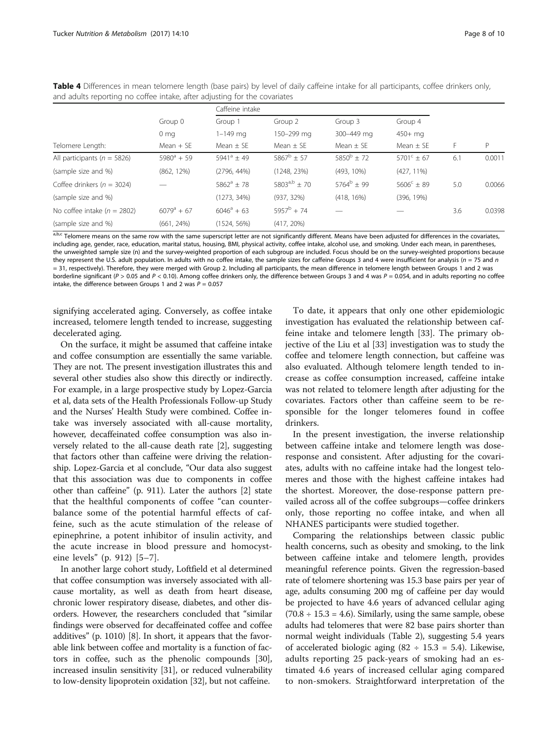|                                 |                 | Caffeine intake |                     |                 |                     |     |        |
|---------------------------------|-----------------|-----------------|---------------------|-----------------|---------------------|-----|--------|
|                                 | Group 0         | Group 1         | Group 2             | Group 3         | Group 4             |     |        |
|                                 | 0 <sub>mg</sub> | 1–149 ma        | 150-299 mg          | 300-449 mg      | $450+$ mg           |     |        |
| Telomere Length:                | $Mean + SE$     | Mean $\pm$ SE   | $Mean + SF$         | Mean $\pm$ SE   | Mean $\pm$ SE       | F   | P      |
| All participants ( $n = 5826$ ) | $5980^a + 59$   | $5941^a + 49$   | $5867^b \pm 57$     | $5850^b \pm 72$ | $5701^{\circ} + 67$ | 6.1 | 0.0011 |
| (sample size and %)             | $(862, 12\%)$   | $(2796, 44\%)$  | $(1248, 23\%)$      | $(493, 10\%)$   | $(427, 11\%)$       |     |        |
| Coffee drinkers ( $n = 3024$ )  |                 | $5862^a \pm 78$ | $5803^{a,b} + 70$   | $5764^b + 99$   | $5606^c + 89$       | 5.0 | 0.0066 |
| (sample size and %)             |                 | $(1273, 34\%)$  | $(937, 32\%)$       | $(418, 16\%)$   | (396, 19%)          |     |        |
| No coffee intake $(n = 2802)$   | $6079^a + 67$   | $6046^a + 63$   | $5957^{\rm b}$ + 74 |                 |                     | 3.6 | 0.0398 |
| (sample size and %)             | $(661, 24\%)$   | $(1524, 56\%)$  | $(417, 20\%)$       |                 |                     |     |        |

<span id="page-7-0"></span>Table 4 Differences in mean telomere length (base pairs) by level of daily caffeine intake for all participants, coffee drinkers only, and adults reporting no coffee intake, after adjusting for the covariates

a,b,c Telomere means on the same row with the same superscript letter are not significantly different. Means have been adjusted for differences in the covariates, including age, gender, race, education, marital status, housing, BMI, physical activity, coffee intake, alcohol use, and smoking. Under each mean, in parentheses, the unweighted sample size (n) and the survey-weighted proportion of each subgroup are included. Focus should be on the survey-weighted proportions because they represent the U.S. adult population. In adults with no coffee intake, the sample sizes for caffeine Groups 3 and 4 were insufficient for analysis ( $n = 75$  and  $n$ = 31, respectively). Therefore, they were merged with Group 2. Including all participants, the mean difference in telomere length between Groups 1 and 2 was borderline significant (P > 0.05 and P < 0.10). Among coffee drinkers only, the difference between Groups 3 and 4 was P = 0.054, and in adults reporting no coffee intake, the difference between Groups 1 and 2 was  $P = 0.057$ 

signifying accelerated aging. Conversely, as coffee intake increased, telomere length tended to increase, suggesting decelerated aging.

On the surface, it might be assumed that caffeine intake and coffee consumption are essentially the same variable. They are not. The present investigation illustrates this and several other studies also show this directly or indirectly. For example, in a large prospective study by Lopez-Garcia et al, data sets of the Health Professionals Follow-up Study and the Nurses' Health Study were combined. Coffee intake was inversely associated with all-cause mortality, however, decaffeinated coffee consumption was also inversely related to the all-cause death rate [[2\]](#page-9-0), suggesting that factors other than caffeine were driving the relationship. Lopez-Garcia et al conclude, "Our data also suggest that this association was due to components in coffee other than caffeine" (p. 911). Later the authors [[2\]](#page-9-0) state that the healthful components of coffee "can counterbalance some of the potential harmful effects of caffeine, such as the acute stimulation of the release of epinephrine, a potent inhibitor of insulin activity, and the acute increase in blood pressure and homocysteine levels" (p. 912) [\[5](#page-9-0)–[7](#page-9-0)].

In another large cohort study, Loftfield et al determined that coffee consumption was inversely associated with allcause mortality, as well as death from heart disease, chronic lower respiratory disease, diabetes, and other disorders. However, the researchers concluded that "similar findings were observed for decaffeinated coffee and coffee additives" (p. 1010) [\[8\]](#page-9-0). In short, it appears that the favorable link between coffee and mortality is a function of factors in coffee, such as the phenolic compounds [[30](#page-9-0)], increased insulin sensitivity [[31](#page-9-0)], or reduced vulnerability to low-density lipoprotein oxidation [\[32\]](#page-9-0), but not caffeine.

To date, it appears that only one other epidemiologic investigation has evaluated the relationship between caffeine intake and telomere length [\[33\]](#page-9-0). The primary objective of the Liu et al [[33](#page-9-0)] investigation was to study the coffee and telomere length connection, but caffeine was also evaluated. Although telomere length tended to increase as coffee consumption increased, caffeine intake was not related to telomere length after adjusting for the covariates. Factors other than caffeine seem to be responsible for the longer telomeres found in coffee drinkers.

In the present investigation, the inverse relationship between caffeine intake and telomere length was doseresponse and consistent. After adjusting for the covariates, adults with no caffeine intake had the longest telomeres and those with the highest caffeine intakes had the shortest. Moreover, the dose-response pattern prevailed across all of the coffee subgroups—coffee drinkers only, those reporting no coffee intake, and when all NHANES participants were studied together.

Comparing the relationships between classic public health concerns, such as obesity and smoking, to the link between caffeine intake and telomere length, provides meaningful reference points. Given the regression-based rate of telomere shortening was 15.3 base pairs per year of age, adults consuming 200 mg of caffeine per day would be projected to have 4.6 years of advanced cellular aging  $(70.8 \div 15.3 = 4.6)$ . Similarly, using the same sample, obese adults had telomeres that were 82 base pairs shorter than normal weight individuals (Table [2](#page-5-0)), suggesting 5.4 years of accelerated biologic aging  $(82 \div 15.3 = 5.4)$ . Likewise, adults reporting 25 pack-years of smoking had an estimated 4.6 years of increased cellular aging compared to non-smokers. Straightforward interpretation of the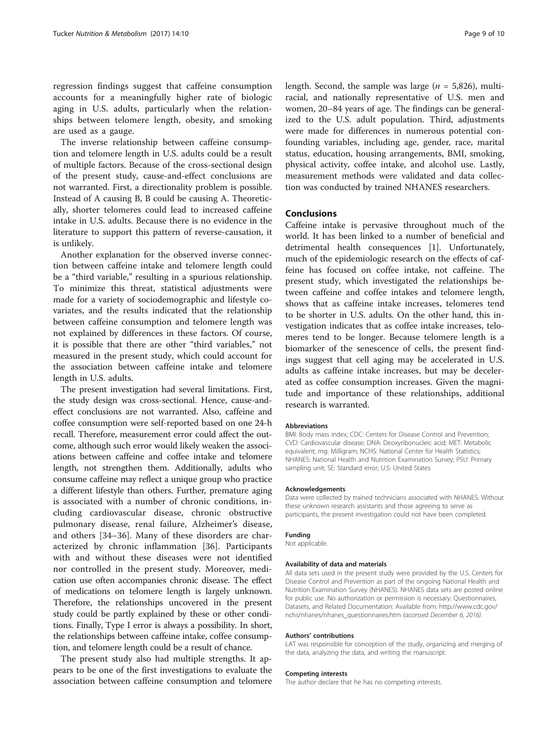regression findings suggest that caffeine consumption accounts for a meaningfully higher rate of biologic aging in U.S. adults, particularly when the relationships between telomere length, obesity, and smoking are used as a gauge.

The inverse relationship between caffeine consumption and telomere length in U.S. adults could be a result of multiple factors. Because of the cross-sectional design of the present study, cause-and-effect conclusions are not warranted. First, a directionality problem is possible. Instead of A causing B, B could be causing A. Theoretically, shorter telomeres could lead to increased caffeine intake in U.S. adults. Because there is no evidence in the literature to support this pattern of reverse-causation, it is unlikely.

Another explanation for the observed inverse connection between caffeine intake and telomere length could be a "third variable," resulting in a spurious relationship. To minimize this threat, statistical adjustments were made for a variety of sociodemographic and lifestyle covariates, and the results indicated that the relationship between caffeine consumption and telomere length was not explained by differences in these factors. Of course, it is possible that there are other "third variables," not measured in the present study, which could account for the association between caffeine intake and telomere length in U.S. adults.

The present investigation had several limitations. First, the study design was cross-sectional. Hence, cause-andeffect conclusions are not warranted. Also, caffeine and coffee consumption were self-reported based on one 24-h recall. Therefore, measurement error could affect the outcome, although such error would likely weaken the associations between caffeine and coffee intake and telomere length, not strengthen them. Additionally, adults who consume caffeine may reflect a unique group who practice a different lifestyle than others. Further, premature aging is associated with a number of chronic conditions, including cardiovascular disease, chronic obstructive pulmonary disease, renal failure, Alzheimer's disease, and others [\[34](#page-9-0)–[36](#page-9-0)]. Many of these disorders are characterized by chronic inflammation [\[36](#page-9-0)]. Participants with and without these diseases were not identified nor controlled in the present study. Moreover, medication use often accompanies chronic disease. The effect of medications on telomere length is largely unknown. Therefore, the relationships uncovered in the present study could be partly explained by these or other conditions. Finally, Type I error is always a possibility. In short, the relationships between caffeine intake, coffee consumption, and telomere length could be a result of chance.

The present study also had multiple strengths. It appears to be one of the first investigations to evaluate the association between caffeine consumption and telomere length. Second, the sample was large ( $n = 5,826$ ), multiracial, and nationally representative of U.S. men and women, 20–84 years of age. The findings can be generalized to the U.S. adult population. Third, adjustments were made for differences in numerous potential confounding variables, including age, gender, race, marital status, education, housing arrangements, BMI, smoking, physical activity, coffee intake, and alcohol use. Lastly, measurement methods were validated and data collection was conducted by trained NHANES researchers.

## Conclusions

Caffeine intake is pervasive throughout much of the world. It has been linked to a number of beneficial and detrimental health consequences [[1\]](#page-9-0). Unfortunately, much of the epidemiologic research on the effects of caffeine has focused on coffee intake, not caffeine. The present study, which investigated the relationships between caffeine and coffee intakes and telomere length, shows that as caffeine intake increases, telomeres tend to be shorter in U.S. adults. On the other hand, this investigation indicates that as coffee intake increases, telomeres tend to be longer. Because telomere length is a biomarker of the senescence of cells, the present findings suggest that cell aging may be accelerated in U.S. adults as caffeine intake increases, but may be decelerated as coffee consumption increases. Given the magnitude and importance of these relationships, additional research is warranted.

#### Abbreviations

BMI: Body mass index; CDC: Centers for Disease Control and Prevention; CVD: Cardiovascular disease; DNA: Deoxyribonucleic acid; MET: Metabolic equivalent; mg: Milligram; NCHS: National Center for Health Statistics; NHANES: National Health and Nutrition Examination Survey; PSU: Primary sampling unit; SE: Standard error; U.S: United States

#### Acknowledgements

Data were collected by trained technicians associated with NHANES. Without these unknown research assistants and those agreeing to serve as participants, the present investigation could not have been completed.

#### Funding

Not applicable.

#### Availability of data and materials

All data sets used in the present study were provided by the U.S. Centers for Disease Control and Prevention as part of the ongoing National Health and Nutrition Examination Survey (NHANES). NHANES data sets are posted online for public use. No authorization or permission is necessary: Questionnaires, Datasets, and Related Documentation: Available from: [http://www.cdc.gov/](http://www.cdc.gov/nchs/nhanes/nhanes_questionnaires.htm) [nchs/nhanes/nhanes\\_questionnaires.htm](http://www.cdc.gov/nchs/nhanes/nhanes_questionnaires.htm) (accessed December 6, 2016).

#### Authors' contributions

LAT was responsible for conception of the study, organizing and merging of the data, analyzing the data, and writing the manuscript.

#### Competing interests

The author declare that he has no competing interests.